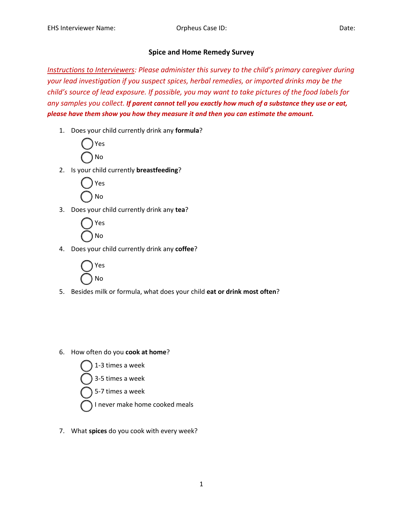## **Spice and Home Remedy Survey**

*Instructions to Interviewers: Please administer this survey to the child's primary caregiver during your lead investigation if you suspect spices, herbal remedies, or imported drinks may be the child's source of lead exposure. If possible, you may want to take pictures of the food labels for any samples you collect. If parent cannot tell you exactly how much of a substance they use or eat, please have them show you how they measure it and then you can estimate the amount.*

1. Does your child currently drink any **formula**?



2. Is your child currently **breastfeeding**?



3. Does your child currently drink any **tea**?



4. Does your child currently drink any **coffee**?



- 5. Besides milk or formula, what does your child **eat or drink most often**?
- 6. How often do you **cook at home**?



7. What **spices** do you cook with every week?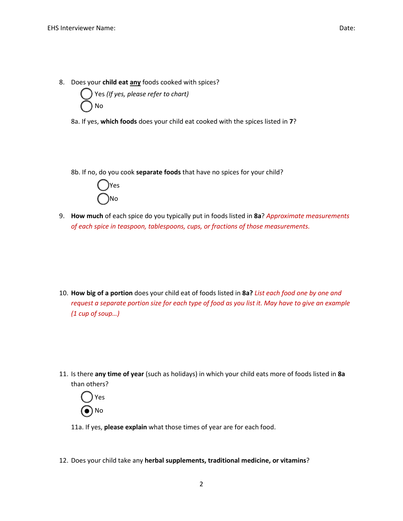

8a. If yes, **which foods** does your child eat cooked with the spices listed in **7**?

8b. If no, do you cook **separate foods** that have no spices for your child?



9. **How much** of each spice do you typically put in foods listed in **8a**? *Approximate measurements of each spice in teaspoon, tablespoons, cups, or fractions of those measurements.*

10. **How big of a portion** does your child eat of foods listed in **8a?** *List each food one by one and request a separate portion size for each type of food as you list it. May have to give an example (1 cup of soup…)*

11. Is there **any time of year** (such as holidays) in which your child eats more of foods listed in **8a** than others?



11a. If yes, **please explain** what those times of year are for each food.

12. Does your child take any **herbal supplements, traditional medicine, or vitamins**?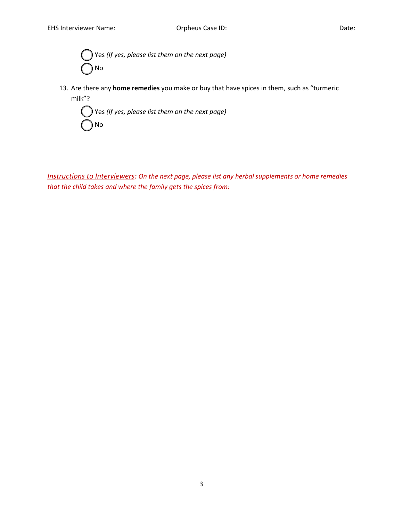Yes (If yes, please list them on the next page) o No

13. Are there any **home remedies** you make or buy that have spices in them, such as "turmeric milk"?



*Instructions to Interviewers: On the next page, please list any herbal supplements or home remedies that the child takes and where the family gets the spices from:*